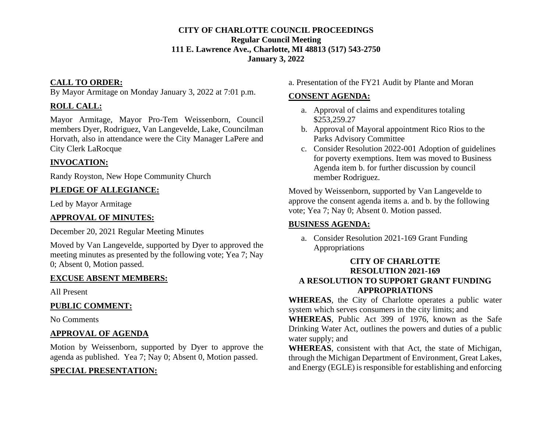#### **CITY OF CHARLOTTE COUNCIL PROCEEDINGS Regular Council Meeting 111 E. Lawrence Ave., Charlotte, MI 48813 (517) 543-2750 January 3, 2022**

### **CALL TO ORDER:**

By Mayor Armitage on Monday January 3, 2022 at 7:01 p.m.

### **ROLL CALL:**

Mayor Armitage, Mayor Pro-Tem Weissenborn, Council members Dyer, Rodriguez, Van Langevelde, Lake, Councilman Horvath, also in attendance were the City Manager LaPere and City Clerk LaRocque

## **INVOCATION:**

Randy Royston, New Hope Community Church

## **PLEDGE OF ALLEGIANCE:**

Led by Mayor Armitage

## **APPROVAL OF MINUTES:**

December 20, 2021 Regular Meeting Minutes

Moved by Van Langevelde, supported by Dyer to approved the meeting minutes as presented by the following vote; Yea 7; Nay 0; Absent 0, Motion passed.

## **EXCUSE ABSENT MEMBERS:**

All Present

## **PUBLIC COMMENT:**

No Comments

## **APPROVAL OF AGENDA**

Motion by Weissenborn, supported by Dyer to approve the agenda as published. Yea 7; Nay 0; Absent 0, Motion passed.

# **SPECIAL PRESENTATION:**

a. Presentation of the FY21 Audit by Plante and Moran

## **CONSENT AGENDA:**

- a. Approval of claims and expenditures totaling \$253,259.27
- b. Approval of Mayoral appointment Rico Rios to the Parks Advisory Committee
- c. Consider Resolution 2022-001 Adoption of guidelines for poverty exemptions. Item was moved to Business Agenda item b. for further discussion by council member Rodriguez.

Moved by Weissenborn, supported by Van Langevelde to approve the consent agenda items a. and b. by the following vote; Yea 7; Nay 0; Absent 0. Motion passed.

## **BUSINESS AGENDA:**

a. Consider Resolution 2021-169 Grant Funding Appropriations

#### **CITY OF CHARLOTTE RESOLUTION 2021-169 A RESOLUTION TO SUPPORT GRANT FUNDING APPROPRIATIONS**

**WHEREAS**, the City of Charlotte operates a public water system which serves consumers in the city limits; and

**WHEREAS**, Public Act 399 of 1976, known as the Safe Drinking Water Act, outlines the powers and duties of a public water supply; and

**WHEREAS**, consistent with that Act, the state of Michigan, through the Michigan Department of Environment, Great Lakes, and Energy (EGLE) is responsible for establishing and enforcing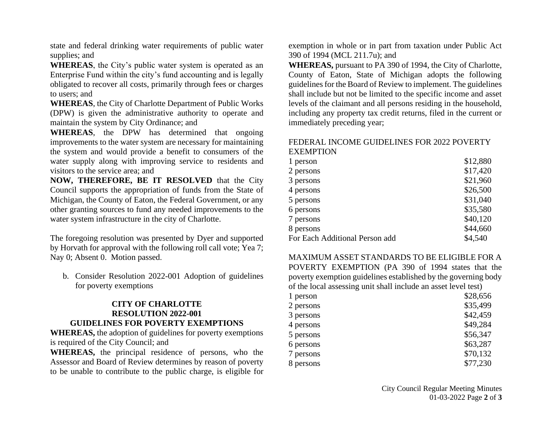state and federal drinking water requirements of public water supplies; and

**WHEREAS**, the City's public water system is operated as an Enterprise Fund within the city's fund accounting and is legally obligated to recover all costs, primarily through fees or charges to users; and

**WHEREAS**, the City of Charlotte Department of Public Works (DPW) is given the administrative authority to operate and maintain the system by City Ordinance; and

**WHEREAS**, the DPW has determined that ongoing improvements to the water system are necessary for maintaining the system and would provide a benefit to consumers of the water supply along with improving service to residents and visitors to the service area; and

**NOW, THEREFORE, BE IT RESOLVED** that the City Council supports the appropriation of funds from the State of Michigan, the County of Eaton, the Federal Government, or any other granting sources to fund any needed improvements to the water system infrastructure in the city of Charlotte.

The foregoing resolution was presented by Dyer and supported by Horvath for approval with the following roll call vote; Yea 7; Nay 0; Absent 0. Motion passed.

b. Consider Resolution 2022-001 Adoption of guidelines for poverty exemptions

#### **CITY OF CHARLOTTE RESOLUTION 2022-001 GUIDELINES FOR POVERTY EXEMPTIONS**

**WHEREAS,** the adoption of guidelines for poverty exemptions is required of the City Council; and

**WHEREAS,** the principal residence of persons, who the Assessor and Board of Review determines by reason of poverty to be unable to contribute to the public charge, is eligible for exemption in whole or in part from taxation under Public Act 390 of 1994 (MCL 211.7u); and

**WHEREAS,** pursuant to PA 390 of 1994, the City of Charlotte, County of Eaton, State of Michigan adopts the following guidelines for the Board of Review to implement. The guidelines shall include but not be limited to the specific income and asset levels of the claimant and all persons residing in the household, including any property tax credit returns, filed in the current or immediately preceding year;

#### FEDERAL INCOME GUIDELINES FOR 2022 POVERTY **EXEMPTION**

| 1 person                       | \$12,880 |
|--------------------------------|----------|
| 2 persons                      | \$17,420 |
| 3 persons                      | \$21,960 |
| 4 persons                      | \$26,500 |
| 5 persons                      | \$31,040 |
| 6 persons                      | \$35,580 |
| 7 persons                      | \$40,120 |
| 8 persons                      | \$44,660 |
| For Each Additional Person add | \$4,540  |

MAXIMUM ASSET STANDARDS TO BE ELIGIBLE FOR A POVERTY EXEMPTION (PA 390 of 1994 states that the poverty exemption guidelines established by the governing body of the local assessing unit shall include an asset level test)

| 1 person  | \$28,656 |
|-----------|----------|
| 2 persons | \$35,499 |
| 3 persons | \$42,459 |
| 4 persons | \$49,284 |
| 5 persons | \$56,347 |
| 6 persons | \$63,287 |
| 7 persons | \$70,132 |
| 8 persons | \$77,230 |